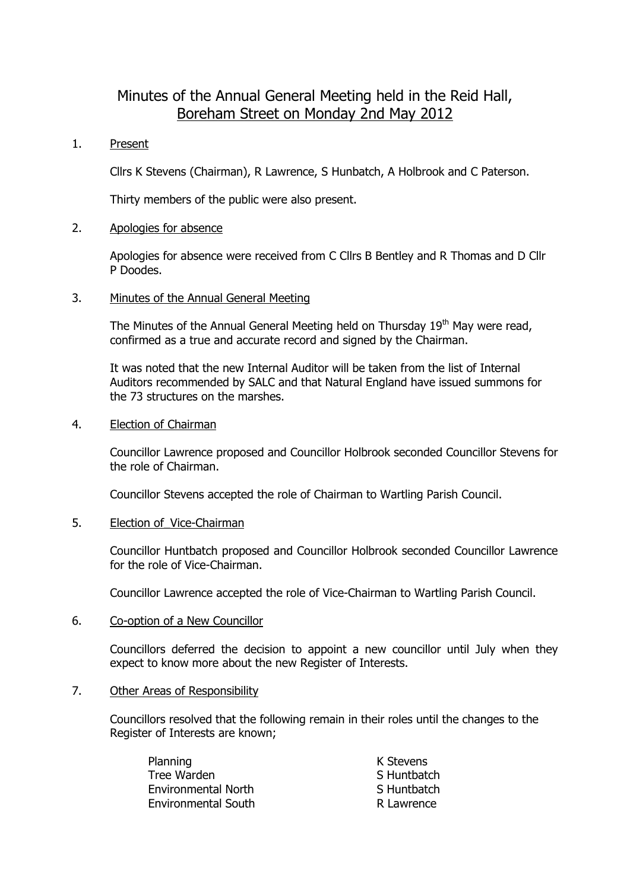# Minutes of the Annual General Meeting held in the Reid Hall, Boreham Street on Monday 2nd May 2012

1. Present

Cllrs K Stevens (Chairman), R Lawrence, S Hunbatch, A Holbrook and C Paterson.

Thirty members of the public were also present.

## 2. Apologies for absence

Apologies for absence were received from C Cllrs B Bentley and R Thomas and D Cllr P Doodes.

### 3. Minutes of the Annual General Meeting

The Minutes of the Annual General Meeting held on Thursday  $19<sup>th</sup>$  May were read, confirmed as a true and accurate record and signed by the Chairman.

It was noted that the new Internal Auditor will be taken from the list of Internal Auditors recommended by SALC and that Natural England have issued summons for the 73 structures on the marshes.

### 4. Election of Chairman

Councillor Lawrence proposed and Councillor Holbrook seconded Councillor Stevens for the role of Chairman.

Councillor Stevens accepted the role of Chairman to Wartling Parish Council.

5. Election of Vice-Chairman

Councillor Huntbatch proposed and Councillor Holbrook seconded Councillor Lawrence for the role of Vice-Chairman.

Councillor Lawrence accepted the role of Vice-Chairman to Wartling Parish Council.

6. Co-option of a New Councillor

Councillors deferred the decision to appoint a new councillor until July when they expect to know more about the new Register of Interests.

7. Other Areas of Responsibility

Councillors resolved that the following remain in their roles until the changes to the Register of Interests are known;

| Planning                   | K Stevens   |
|----------------------------|-------------|
| Tree Warden                | S Huntbatch |
| Environmental North        | S Huntbatch |
| <b>Environmental South</b> | R Lawrence  |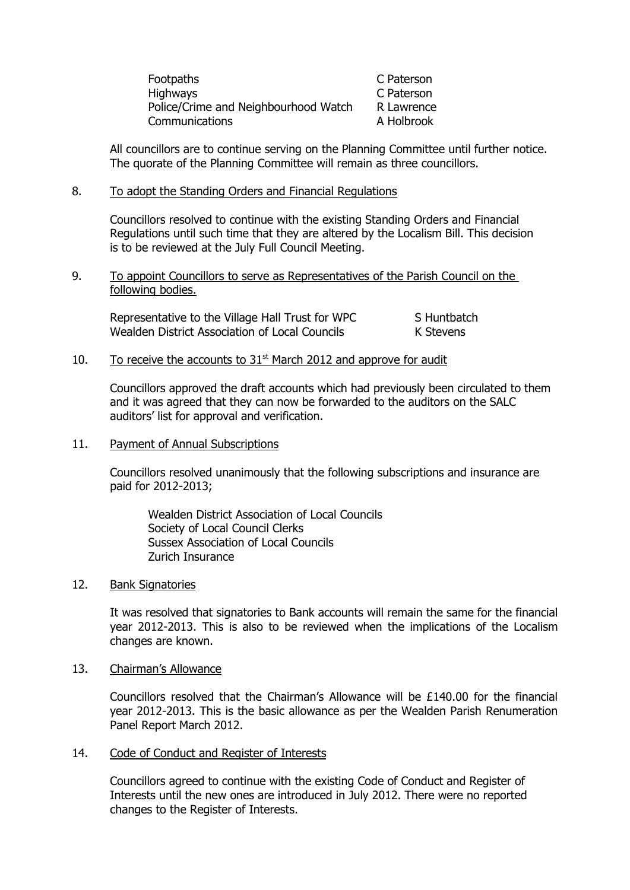| Footpaths                            | C Paterson |
|--------------------------------------|------------|
| <b>Highways</b>                      | C Paterson |
| Police/Crime and Neighbourhood Watch | R Lawrence |
| Communications                       | A Holbrook |

All councillors are to continue serving on the Planning Committee until further notice. The quorate of the Planning Committee will remain as three councillors.

## 8. To adopt the Standing Orders and Financial Regulations

Councillors resolved to continue with the existing Standing Orders and Financial Regulations until such time that they are altered by the Localism Bill. This decision is to be reviewed at the July Full Council Meeting.

### 9. To appoint Councillors to serve as Representatives of the Parish Council on the following bodies.

| Representative to the Village Hall Trust for WPC | S Huntbatch |
|--------------------------------------------------|-------------|
| Wealden District Association of Local Councils   | K Stevens   |

# 10. To receive the accounts to  $31<sup>st</sup>$  March 2012 and approve for audit

Councillors approved the draft accounts which had previously been circulated to them and it was agreed that they can now be forwarded to the auditors on the SALC auditors' list for approval and verification.

#### 11. Payment of Annual Subscriptions

Councillors resolved unanimously that the following subscriptions and insurance are paid for 2012-2013;

Wealden District Association of Local Councils Society of Local Council Clerks Sussex Association of Local Councils Zurich Insurance

#### 12. Bank Signatories

It was resolved that signatories to Bank accounts will remain the same for the financial year 2012-2013. This is also to be reviewed when the implications of the Localism changes are known.

#### 13. Chairman's Allowance

Councillors resolved that the Chairman's Allowance will be £140.00 for the financial year 2012-2013. This is the basic allowance as per the Wealden Parish Renumeration Panel Report March 2012.

#### 14. Code of Conduct and Register of Interests

Councillors agreed to continue with the existing Code of Conduct and Register of Interests until the new ones are introduced in July 2012. There were no reported changes to the Register of Interests.